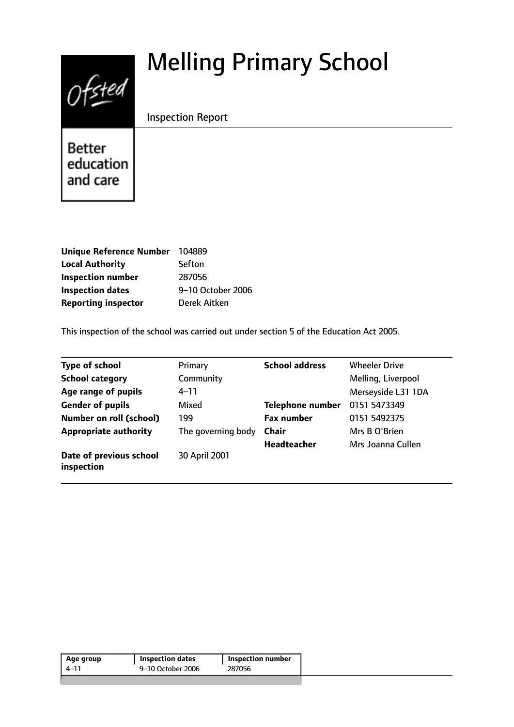# Melling Primary School



Inspection Report

**Better** education and care

| Unique Reference Number 104889 |                   |
|--------------------------------|-------------------|
| <b>Local Authority</b>         | Sefton            |
| <b>Inspection number</b>       | 287056            |
| <b>Inspection dates</b>        | 9-10 October 2006 |
| <b>Reporting inspector</b>     | Derek Aitken      |

This inspection of the school was carried out under section 5 of the Education Act 2005.

| <b>Type of school</b>                 | Primary            | <b>School address</b>   | <b>Wheeler Drive</b> |
|---------------------------------------|--------------------|-------------------------|----------------------|
| <b>School category</b>                | Community          |                         | Melling, Liverpool   |
| Age range of pupils                   | $4 - 11$           |                         | Merseyside L31 1DA   |
| <b>Gender of pupils</b>               | Mixed              | <b>Telephone number</b> | 0151 5473349         |
| <b>Number on roll (school)</b>        | 199                | <b>Fax number</b>       | 0151 5492375         |
| <b>Appropriate authority</b>          | The governing body | <b>Chair</b>            | Mrs B O'Brien        |
|                                       |                    | <b>Headteacher</b>      | Mrs Joanna Cullen    |
| Date of previous school<br>inspection | 30 April 2001      |                         |                      |

| Age group | <b>Inspection dates</b> | Inspection number |
|-----------|-------------------------|-------------------|
| 4–11      | 9–10 October 2006       | 287056            |
|           |                         |                   |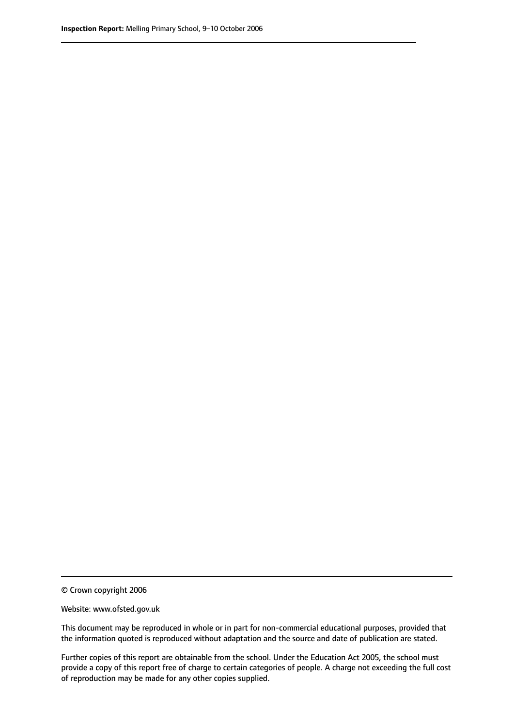© Crown copyright 2006

Website: www.ofsted.gov.uk

This document may be reproduced in whole or in part for non-commercial educational purposes, provided that the information quoted is reproduced without adaptation and the source and date of publication are stated.

Further copies of this report are obtainable from the school. Under the Education Act 2005, the school must provide a copy of this report free of charge to certain categories of people. A charge not exceeding the full cost of reproduction may be made for any other copies supplied.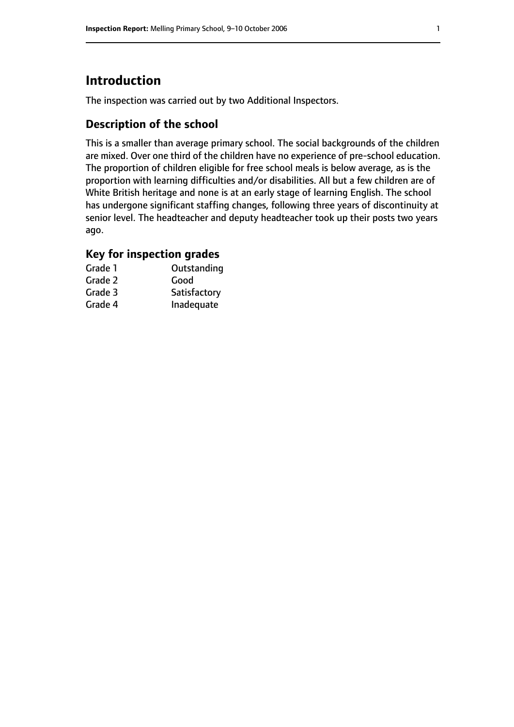# **Introduction**

The inspection was carried out by two Additional Inspectors.

## **Description of the school**

This is a smaller than average primary school. The social backgrounds of the children are mixed. Over one third of the children have no experience of pre-school education. The proportion of children eligible for free school meals is below average, as is the proportion with learning difficulties and/or disabilities. All but a few children are of White British heritage and none is at an early stage of learning English. The school has undergone significant staffing changes, following three years of discontinuity at senior level. The headteacher and deputy headteacher took up their posts two years ago.

# **Key for inspection grades**

| Grade 1 | Outstanding  |
|---------|--------------|
| Grade 2 | Good         |
| Grade 3 | Satisfactory |
| Grade 4 | Inadequate   |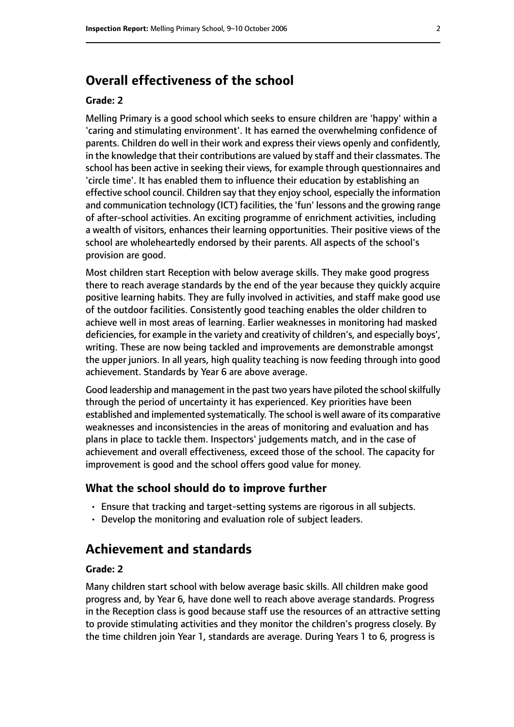# **Overall effectiveness of the school**

#### **Grade: 2**

Melling Primary is a good school which seeks to ensure children are 'happy' within a 'caring and stimulating environment'. It has earned the overwhelming confidence of parents. Children do well in their work and express their views openly and confidently, in the knowledge that their contributions are valued by staff and their classmates. The school has been active in seeking their views, for example through questionnaires and 'circle time'. It has enabled them to influence their education by establishing an effective school council. Children say that they enjoy school, especially the information and communication technology (ICT) facilities, the 'fun' lessons and the growing range of after-school activities. An exciting programme of enrichment activities, including a wealth of visitors, enhances their learning opportunities. Their positive views of the school are wholeheartedly endorsed by their parents. All aspects of the school's provision are good.

Most children start Reception with below average skills. They make good progress there to reach average standards by the end of the year because they quickly acquire positive learning habits. They are fully involved in activities, and staff make good use of the outdoor facilities. Consistently good teaching enables the older children to achieve well in most areas of learning. Earlier weaknesses in monitoring had masked deficiencies, for example in the variety and creativity of children's, and especially boys', writing. These are now being tackled and improvements are demonstrable amongst the upper juniors. In all years, high quality teaching is now feeding through into good achievement. Standards by Year 6 are above average.

Good leadership and management in the past two years have piloted the school skilfully through the period of uncertainty it has experienced. Key priorities have been established and implemented systematically. The school is well aware of its comparative weaknesses and inconsistencies in the areas of monitoring and evaluation and has plans in place to tackle them. Inspectors' judgements match, and in the case of achievement and overall effectiveness, exceed those of the school. The capacity for improvement is good and the school offers good value for money.

#### **What the school should do to improve further**

- Ensure that tracking and target-setting systems are rigorous in all subjects.
- Develop the monitoring and evaluation role of subject leaders.

# **Achievement and standards**

#### **Grade: 2**

Many children start school with below average basic skills. All children make good progress and, by Year 6, have done well to reach above average standards. Progress in the Reception class is good because staff use the resources of an attractive setting to provide stimulating activities and they monitor the children's progress closely. By the time children join Year 1, standards are average. During Years 1 to 6, progress is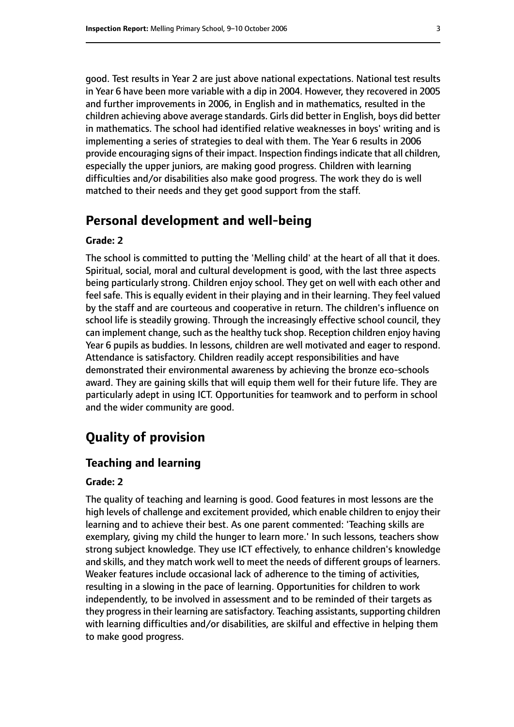good. Test results in Year 2 are just above national expectations. National test results in Year 6 have been more variable with a dip in 2004. However, they recovered in 2005 and further improvements in 2006, in English and in mathematics, resulted in the children achieving above average standards. Girls did better in English, boys did better in mathematics. The school had identified relative weaknesses in boys' writing and is implementing a series of strategies to deal with them. The Year 6 results in 2006 provide encouraging signs of their impact. Inspection findings indicate that all children, especially the upper juniors, are making good progress. Children with learning difficulties and/or disabilities also make good progress. The work they do is well matched to their needs and they get good support from the staff.

## **Personal development and well-being**

#### **Grade: 2**

The school is committed to putting the 'Melling child' at the heart of all that it does. Spiritual, social, moral and cultural development is good, with the last three aspects being particularly strong. Children enjoy school. They get on well with each other and feel safe. This is equally evident in their playing and in their learning. They feel valued by the staff and are courteous and cooperative in return. The children's influence on school life is steadily growing. Through the increasingly effective school council, they can implement change, such as the healthy tuck shop. Reception children enjoy having Year 6 pupils as buddies. In lessons, children are well motivated and eager to respond. Attendance is satisfactory. Children readily accept responsibilities and have demonstrated their environmental awareness by achieving the bronze eco-schools award. They are gaining skills that will equip them well for their future life. They are particularly adept in using ICT. Opportunities for teamwork and to perform in school and the wider community are good.

# **Quality of provision**

#### **Teaching and learning**

#### **Grade: 2**

The quality of teaching and learning is good. Good features in most lessons are the high levels of challenge and excitement provided, which enable children to enjoy their learning and to achieve their best. As one parent commented: 'Teaching skills are exemplary, giving my child the hunger to learn more.' In such lessons, teachers show strong subject knowledge. They use ICT effectively, to enhance children's knowledge and skills, and they match work well to meet the needs of different groups of learners. Weaker features include occasional lack of adherence to the timing of activities, resulting in a slowing in the pace of learning. Opportunities for children to work independently, to be involved in assessment and to be reminded of their targets as they progress in their learning are satisfactory. Teaching assistants, supporting children with learning difficulties and/or disabilities, are skilful and effective in helping them to make good progress.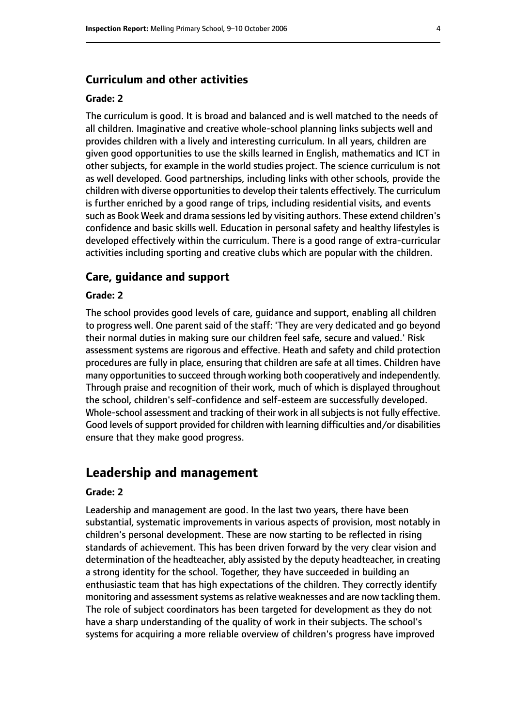#### **Curriculum and other activities**

#### **Grade: 2**

The curriculum is good. It is broad and balanced and is well matched to the needs of all children. Imaginative and creative whole-school planning links subjects well and provides children with a lively and interesting curriculum. In all years, children are given good opportunities to use the skills learned in English, mathematics and ICT in other subjects, for example in the world studies project. The science curriculum is not as well developed. Good partnerships, including links with other schools, provide the children with diverse opportunities to develop their talents effectively. The curriculum is further enriched by a good range of trips, including residential visits, and events such as Book Week and drama sessions led by visiting authors. These extend children's confidence and basic skills well. Education in personal safety and healthy lifestyles is developed effectively within the curriculum. There is a good range of extra-curricular activities including sporting and creative clubs which are popular with the children.

#### **Care, guidance and support**

#### **Grade: 2**

The school provides good levels of care, guidance and support, enabling all children to progress well. One parent said of the staff: 'They are very dedicated and go beyond their normal duties in making sure our children feel safe, secure and valued.' Risk assessment systems are rigorous and effective. Heath and safety and child protection procedures are fully in place, ensuring that children are safe at all times. Children have many opportunities to succeed through working both cooperatively and independently. Through praise and recognition of their work, much of which is displayed throughout the school, children's self-confidence and self-esteem are successfully developed. Whole-school assessment and tracking of their work in all subjects is not fully effective. Good levels of support provided for children with learning difficulties and/or disabilities ensure that they make good progress.

### **Leadership and management**

#### **Grade: 2**

Leadership and management are good. In the last two years, there have been substantial, systematic improvements in various aspects of provision, most notably in children's personal development. These are now starting to be reflected in rising standards of achievement. This has been driven forward by the very clear vision and determination of the headteacher, ably assisted by the deputy headteacher, in creating a strong identity for the school. Together, they have succeeded in building an enthusiastic team that has high expectations of the children. They correctly identify monitoring and assessment systems as relative weaknesses and are now tackling them. The role of subject coordinators has been targeted for development as they do not have a sharp understanding of the quality of work in their subjects. The school's systems for acquiring a more reliable overview of children's progress have improved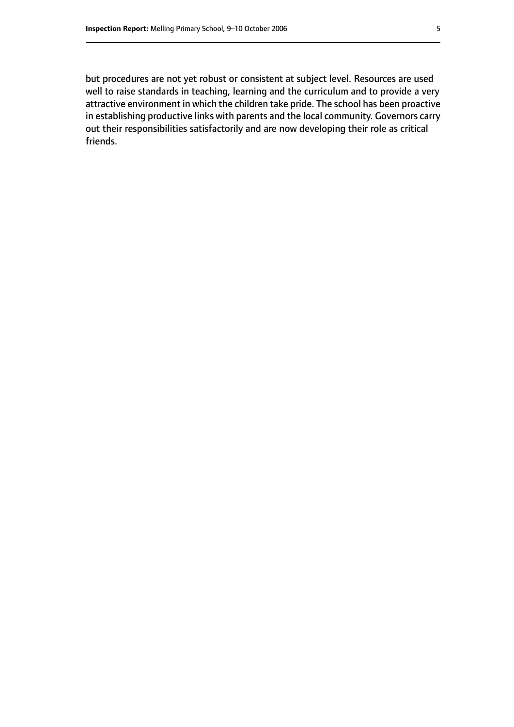but procedures are not yet robust or consistent at subject level. Resources are used well to raise standards in teaching, learning and the curriculum and to provide a very attractive environment in which the children take pride. The school has been proactive in establishing productive links with parents and the local community. Governors carry out their responsibilities satisfactorily and are now developing their role as critical friends.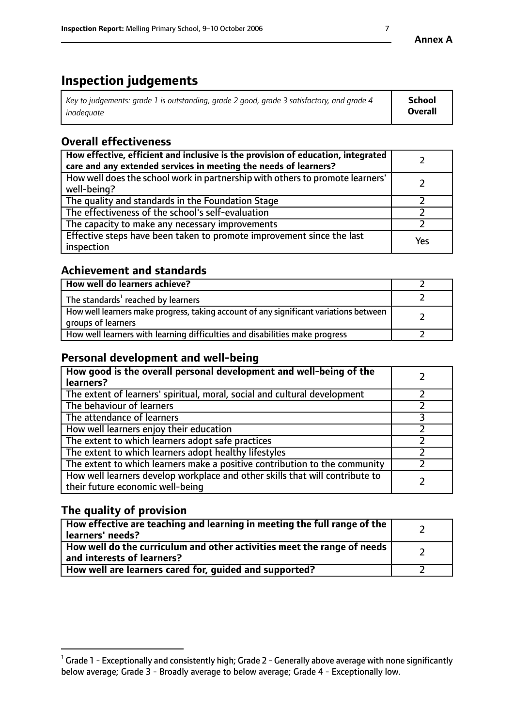# **Inspection judgements**

| $^{\circ}$ Key to judgements: grade 1 is outstanding, grade 2 good, grade 3 satisfactory, and grade 4 $^{\circ}$ | School         |
|------------------------------------------------------------------------------------------------------------------|----------------|
| inadequate                                                                                                       | <b>Overall</b> |

# **Overall effectiveness**

| How effective, efficient and inclusive is the provision of education, integrated<br>care and any extended services in meeting the needs of learners? |     |
|------------------------------------------------------------------------------------------------------------------------------------------------------|-----|
| How well does the school work in partnership with others to promote learners'<br>well-being?                                                         |     |
| The quality and standards in the Foundation Stage                                                                                                    |     |
| The effectiveness of the school's self-evaluation                                                                                                    |     |
| The capacity to make any necessary improvements                                                                                                      |     |
| Effective steps have been taken to promote improvement since the last<br>inspection                                                                  | Yes |

## **Achievement and standards**

| How well do learners achieve?                                                                               |  |
|-------------------------------------------------------------------------------------------------------------|--|
| The standards <sup>1</sup> reached by learners                                                              |  |
| How well learners make progress, taking account of any significant variations between<br>groups of learners |  |
| How well learners with learning difficulties and disabilities make progress                                 |  |

# **Personal development and well-being**

| How good is the overall personal development and well-being of the<br>learners?                                  |  |
|------------------------------------------------------------------------------------------------------------------|--|
| The extent of learners' spiritual, moral, social and cultural development                                        |  |
| The behaviour of learners                                                                                        |  |
| The attendance of learners                                                                                       |  |
| How well learners enjoy their education                                                                          |  |
| The extent to which learners adopt safe practices                                                                |  |
| The extent to which learners adopt healthy lifestyles                                                            |  |
| The extent to which learners make a positive contribution to the community                                       |  |
| How well learners develop workplace and other skills that will contribute to<br>their future economic well-being |  |

# **The quality of provision**

| How effective are teaching and learning in meeting the full range of the<br>  learners' needs?                      |  |
|---------------------------------------------------------------------------------------------------------------------|--|
| $\mid$ How well do the curriculum and other activities meet the range of needs<br>$\mid$ and interests of learners? |  |
| How well are learners cared for, guided and supported?                                                              |  |

 $^1$  Grade 1 - Exceptionally and consistently high; Grade 2 - Generally above average with none significantly below average; Grade 3 - Broadly average to below average; Grade 4 - Exceptionally low.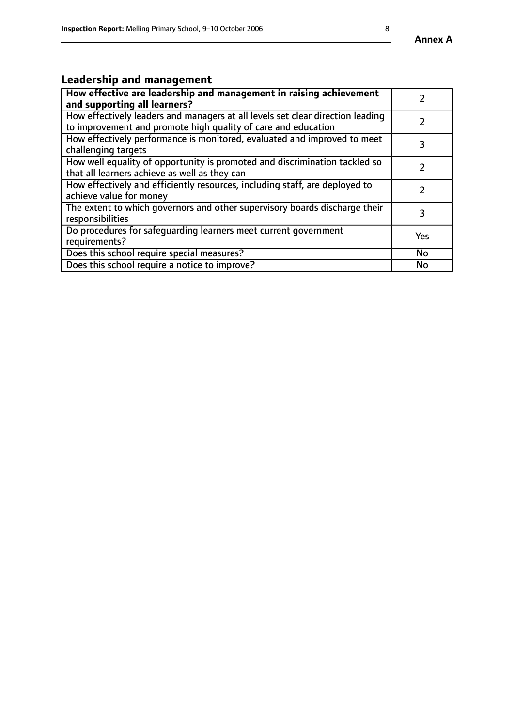# **Leadership and management**

| How effective are leadership and management in raising achievement<br>and supporting all learners?                                              |     |
|-------------------------------------------------------------------------------------------------------------------------------------------------|-----|
| How effectively leaders and managers at all levels set clear direction leading<br>to improvement and promote high quality of care and education |     |
| How effectively performance is monitored, evaluated and improved to meet<br>challenging targets                                                 |     |
| How well equality of opportunity is promoted and discrimination tackled so<br>that all learners achieve as well as they can                     |     |
| How effectively and efficiently resources, including staff, are deployed to<br>achieve value for money                                          |     |
| The extent to which governors and other supervisory boards discharge their<br>responsibilities                                                  | 3   |
| Do procedures for safequarding learners meet current government<br>requirements?                                                                | Yes |
| Does this school require special measures?                                                                                                      | No  |
| Does this school require a notice to improve?                                                                                                   | No  |